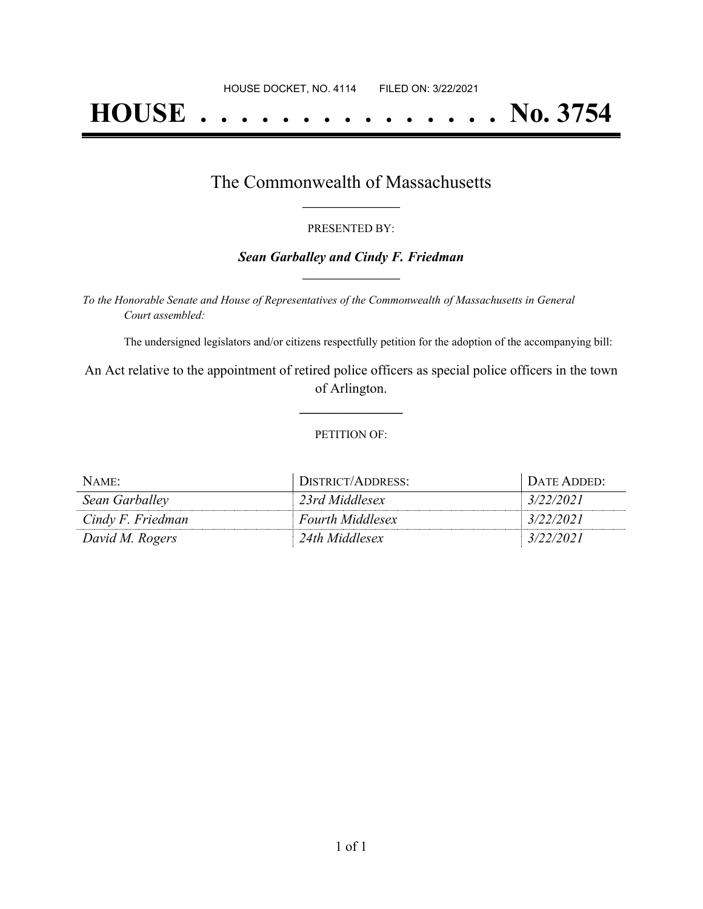# **HOUSE . . . . . . . . . . . . . . . No. 3754**

### The Commonwealth of Massachusetts **\_\_\_\_\_\_\_\_\_\_\_\_\_\_\_\_\_**

#### PRESENTED BY:

#### *Sean Garballey and Cindy F. Friedman* **\_\_\_\_\_\_\_\_\_\_\_\_\_\_\_\_\_**

*To the Honorable Senate and House of Representatives of the Commonwealth of Massachusetts in General Court assembled:*

The undersigned legislators and/or citizens respectfully petition for the adoption of the accompanying bill:

An Act relative to the appointment of retired police officers as special police officers in the town of Arlington.

**\_\_\_\_\_\_\_\_\_\_\_\_\_\_\_**

#### PETITION OF:

| NAME:             | DISTRICT/ADDRESS:       | DATE ADDED: |
|-------------------|-------------------------|-------------|
| Sean Garballey    | 23rd Middlesex          | 3/22/2021   |
| Cindy F. Friedman | <b>Fourth Middlesex</b> | 3/22/2021   |
| David M. Rogers   | 24th Middlesex          | 3/22/2021   |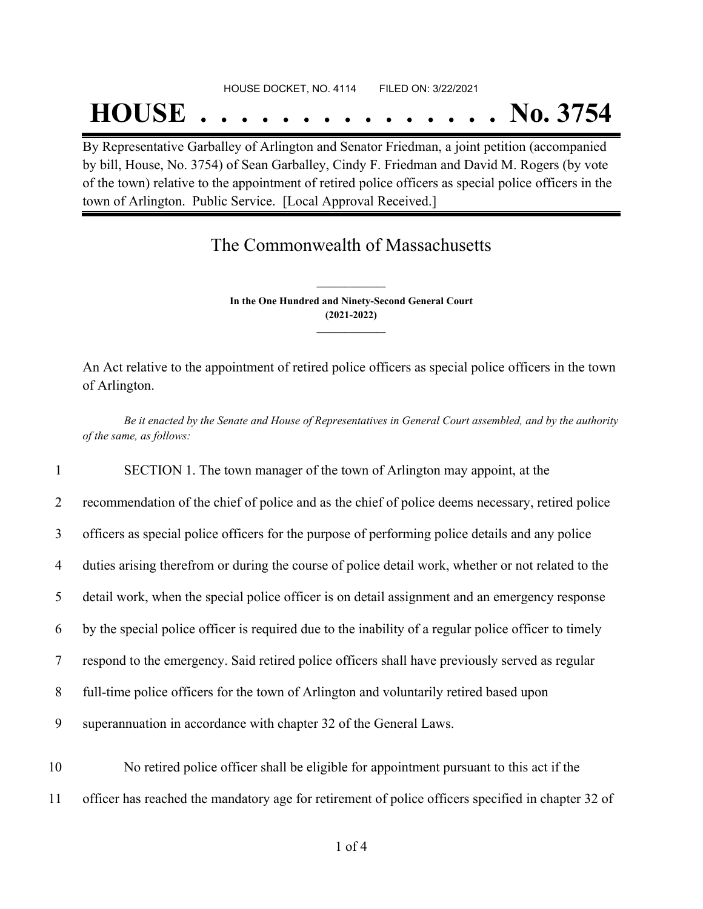#### HOUSE DOCKET, NO. 4114 FILED ON: 3/22/2021

## **HOUSE . . . . . . . . . . . . . . . No. 3754**

By Representative Garballey of Arlington and Senator Friedman, a joint petition (accompanied by bill, House, No. 3754) of Sean Garballey, Cindy F. Friedman and David M. Rogers (by vote of the town) relative to the appointment of retired police officers as special police officers in the town of Arlington. Public Service. [Local Approval Received.]

## The Commonwealth of Massachusetts

**In the One Hundred and Ninety-Second General Court (2021-2022) \_\_\_\_\_\_\_\_\_\_\_\_\_\_\_**

**\_\_\_\_\_\_\_\_\_\_\_\_\_\_\_**

An Act relative to the appointment of retired police officers as special police officers in the town of Arlington.

Be it enacted by the Senate and House of Representatives in General Court assembled, and by the authority *of the same, as follows:*

 SECTION 1. The town manager of the town of Arlington may appoint, at the recommendation of the chief of police and as the chief of police deems necessary, retired police officers as special police officers for the purpose of performing police details and any police duties arising therefrom or during the course of police detail work, whether or not related to the detail work, when the special police officer is on detail assignment and an emergency response by the special police officer is required due to the inability of a regular police officer to timely respond to the emergency. Said retired police officers shall have previously served as regular full-time police officers for the town of Arlington and voluntarily retired based upon superannuation in accordance with chapter 32 of the General Laws. No retired police officer shall be eligible for appointment pursuant to this act if the

11 officer has reached the mandatory age for retirement of police officers specified in chapter 32 of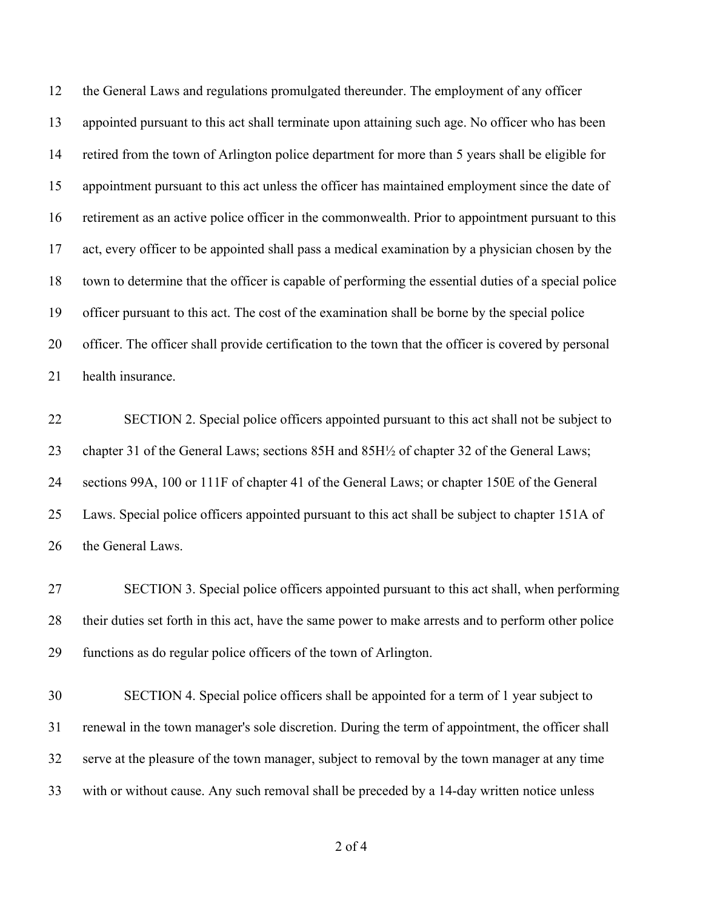the General Laws and regulations promulgated thereunder. The employment of any officer appointed pursuant to this act shall terminate upon attaining such age. No officer who has been retired from the town of Arlington police department for more than 5 years shall be eligible for appointment pursuant to this act unless the officer has maintained employment since the date of retirement as an active police officer in the commonwealth. Prior to appointment pursuant to this act, every officer to be appointed shall pass a medical examination by a physician chosen by the town to determine that the officer is capable of performing the essential duties of a special police officer pursuant to this act. The cost of the examination shall be borne by the special police officer. The officer shall provide certification to the town that the officer is covered by personal health insurance.

 SECTION 2. Special police officers appointed pursuant to this act shall not be subject to chapter 31 of the General Laws; sections 85H and 85H½ of chapter 32 of the General Laws; sections 99A, 100 or 111F of chapter 41 of the General Laws; or chapter 150E of the General Laws. Special police officers appointed pursuant to this act shall be subject to chapter 151A of the General Laws.

 SECTION 3. Special police officers appointed pursuant to this act shall, when performing their duties set forth in this act, have the same power to make arrests and to perform other police functions as do regular police officers of the town of Arlington.

 SECTION 4. Special police officers shall be appointed for a term of 1 year subject to renewal in the town manager's sole discretion. During the term of appointment, the officer shall serve at the pleasure of the town manager, subject to removal by the town manager at any time with or without cause. Any such removal shall be preceded by a 14-day written notice unless

of 4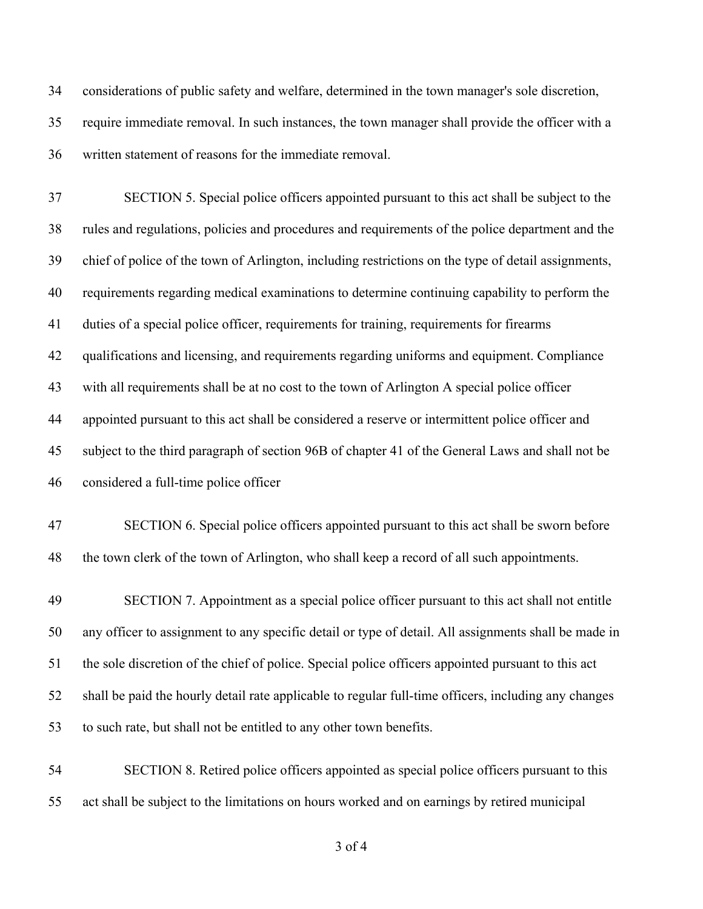considerations of public safety and welfare, determined in the town manager's sole discretion, require immediate removal. In such instances, the town manager shall provide the officer with a written statement of reasons for the immediate removal.

 SECTION 5. Special police officers appointed pursuant to this act shall be subject to the rules and regulations, policies and procedures and requirements of the police department and the chief of police of the town of Arlington, including restrictions on the type of detail assignments, requirements regarding medical examinations to determine continuing capability to perform the duties of a special police officer, requirements for training, requirements for firearms qualifications and licensing, and requirements regarding uniforms and equipment. Compliance with all requirements shall be at no cost to the town of Arlington A special police officer appointed pursuant to this act shall be considered a reserve or intermittent police officer and subject to the third paragraph of section 96B of chapter 41 of the General Laws and shall not be considered a full-time police officer

 SECTION 6. Special police officers appointed pursuant to this act shall be sworn before the town clerk of the town of Arlington, who shall keep a record of all such appointments.

 SECTION 7. Appointment as a special police officer pursuant to this act shall not entitle any officer to assignment to any specific detail or type of detail. All assignments shall be made in the sole discretion of the chief of police. Special police officers appointed pursuant to this act shall be paid the hourly detail rate applicable to regular full-time officers, including any changes to such rate, but shall not be entitled to any other town benefits.

 SECTION 8. Retired police officers appointed as special police officers pursuant to this act shall be subject to the limitations on hours worked and on earnings by retired municipal

of 4